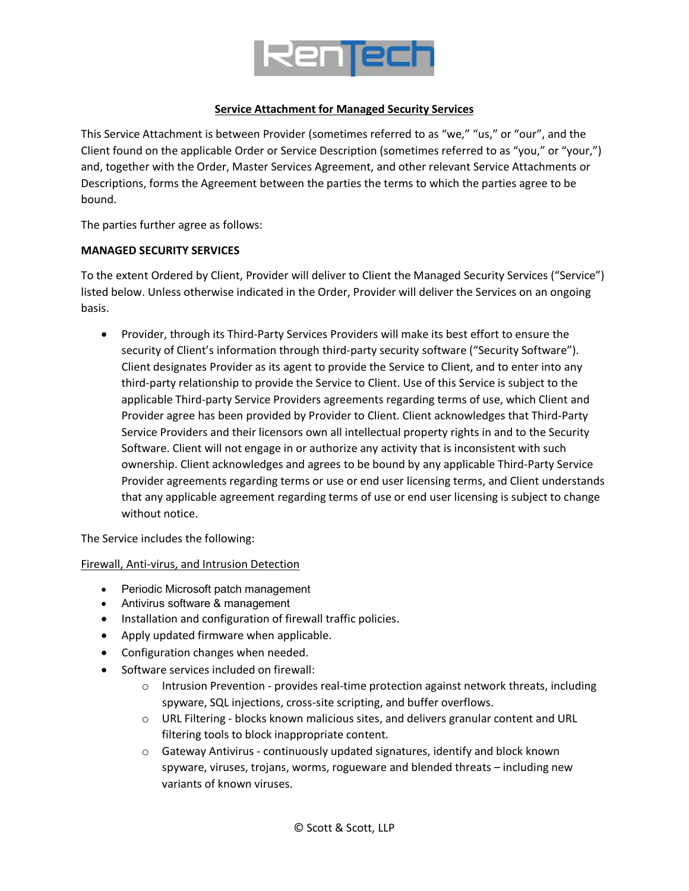

### **Service Attachment for Managed Security Services**

This Service Attachment is between Provider (sometimes referred to as "we," "us," or "our", and the Client found on the applicable Order or Service Description (sometimes referred to as "you," or "your,") and, together with the Order, Master Services Agreement, and other relevant Service Attachments or Descriptions, forms the Agreement between the parties the terms to which the parties agree to be bound.

The parties further agree as follows:

### **MANAGED SECURITY SERVICES**

To the extent Ordered by Client, Provider will deliver to Client the Managed Security Services ("Service") listed below. Unless otherwise indicated in the Order, Provider will deliver the Services on an ongoing basis.

• Provider, through its Third-Party Services Providers will make its best effort to ensure the security of Client's information through third-party security software ("Security Software"). Client designates Provider as its agent to provide the Service to Client, and to enter into any third-party relationship to provide the Service to Client. Use of this Service is subject to the applicable Third-party Service Providers agreements regarding terms of use, which Client and Provider agree has been provided by Provider to Client. Client acknowledges that Third-Party Service Providers and their licensors own all intellectual property rights in and to the Security Software. Client will not engage in or authorize any activity that is inconsistent with such ownership. Client acknowledges and agrees to be bound by any applicable Third-Party Service Provider agreements regarding terms or use or end user licensing terms, and Client understands that any applicable agreement regarding terms of use or end user licensing is subject to change without notice.

The Service includes the following:

Firewall, Anti-virus, and Intrusion Detection

- Periodic Microsoft patch management
- Antivirus software & management
- Installation and configuration of firewall traffic policies.
- Apply updated firmware when applicable.
- Configuration changes when needed.
- Software services included on firewall:
	- $\circ$  Intrusion Prevention provides real-time protection against network threats, including spyware, SQL injections, cross-site scripting, and buffer overflows.
	- $\circ$  URL Filtering blocks known malicious sites, and delivers granular content and URL filtering tools to block inappropriate content.
	- $\circ$  Gateway Antivirus continuously updated signatures, identify and block known spyware, viruses, trojans, worms, rogueware and blended threats – including new variants of known viruses.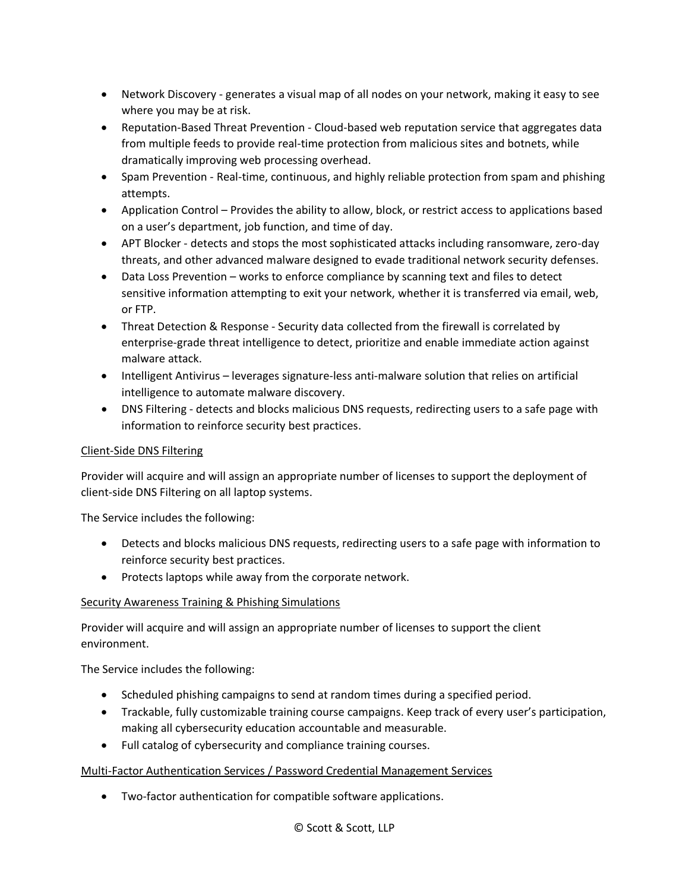- Network Discovery generates a visual map of all nodes on your network, making it easy to see where you may be at risk.
- Reputation-Based Threat Prevention Cloud-based web reputation service that aggregates data from multiple feeds to provide real-time protection from malicious sites and botnets, while dramatically improving web processing overhead.
- Spam Prevention Real-time, continuous, and highly reliable protection from spam and phishing attempts.
- Application Control Provides the ability to allow, block, or restrict access to applications based on a user's department, job function, and time of day.
- APT Blocker detects and stops the most sophisticated attacks including ransomware, zero-day threats, and other advanced malware designed to evade traditional network security defenses.
- Data Loss Prevention works to enforce compliance by scanning text and files to detect sensitive information attempting to exit your network, whether it is transferred via email, web, or FTP.
- Threat Detection & Response Security data collected from the firewall is correlated by enterprise-grade threat intelligence to detect, prioritize and enable immediate action against malware attack.
- Intelligent Antivirus leverages signature-less anti-malware solution that relies on artificial intelligence to automate malware discovery.
- DNS Filtering detects and blocks malicious DNS requests, redirecting users to a safe page with information to reinforce security best practices.

# Client-Side DNS Filtering

Provider will acquire and will assign an appropriate number of licenses to support the deployment of client-side DNS Filtering on all laptop systems.

The Service includes the following:

- Detects and blocks malicious DNS requests, redirecting users to a safe page with information to reinforce security best practices.
- Protects laptops while away from the corporate network.

# Security Awareness Training & Phishing Simulations

Provider will acquire and will assign an appropriate number of licenses to support the client environment.

The Service includes the following:

- Scheduled phishing campaigns to send at random times during a specified period.
- Trackable, fully customizable training course campaigns. Keep track of every user's participation, making all cybersecurity education accountable and measurable.
- Full catalog of cybersecurity and compliance training courses.

# Multi-Factor Authentication Services / Password Credential Management Services

• Two-factor authentication for compatible software applications.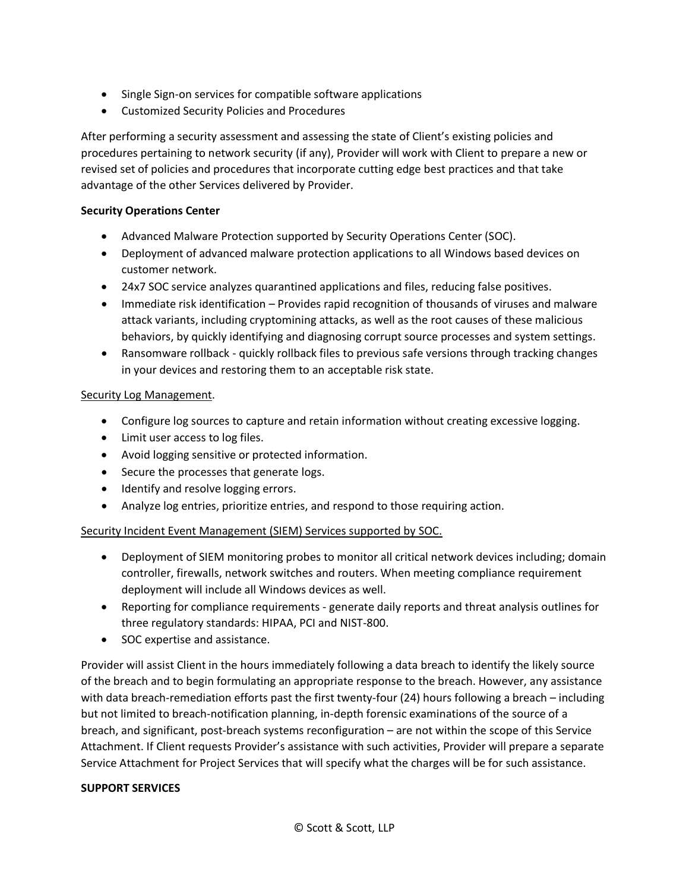- Single Sign-on services for compatible software applications
- Customized Security Policies and Procedures

After performing a security assessment and assessing the state of Client's existing policies and procedures pertaining to network security (if any), Provider will work with Client to prepare a new or revised set of policies and procedures that incorporate cutting edge best practices and that take advantage of the other Services delivered by Provider.

### **Security Operations Center**

- Advanced Malware Protection supported by Security Operations Center (SOC).
- Deployment of advanced malware protection applications to all Windows based devices on customer network.
- 24x7 SOC service analyzes quarantined applications and files, reducing false positives.
- Immediate risk identification Provides rapid recognition of thousands of viruses and malware attack variants, including cryptomining attacks, as well as the root causes of these malicious behaviors, by quickly identifying and diagnosing corrupt source processes and system settings.
- Ransomware rollback quickly rollback files to previous safe versions through tracking changes in your devices and restoring them to an acceptable risk state.

### Security Log Management.

- Configure log sources to capture and retain information without creating excessive logging.
- Limit user access to log files.
- Avoid logging sensitive or protected information.
- Secure the processes that generate logs.
- Identify and resolve logging errors.
- Analyze log entries, prioritize entries, and respond to those requiring action.

# Security Incident Event Management (SIEM) Services supported by SOC.

- Deployment of SIEM monitoring probes to monitor all critical network devices including; domain controller, firewalls, network switches and routers. When meeting compliance requirement deployment will include all Windows devices as well.
- Reporting for compliance requirements generate daily reports and threat analysis outlines for three regulatory standards: HIPAA, PCI and NIST-800.
- SOC expertise and assistance.

Provider will assist Client in the hours immediately following a data breach to identify the likely source of the breach and to begin formulating an appropriate response to the breach. However, any assistance with data breach-remediation efforts past the first twenty-four (24) hours following a breach – including but not limited to breach-notification planning, in-depth forensic examinations of the source of a breach, and significant, post-breach systems reconfiguration – are not within the scope of this Service Attachment. If Client requests Provider's assistance with such activities, Provider will prepare a separate Service Attachment for Project Services that will specify what the charges will be for such assistance.

# **SUPPORT SERVICES**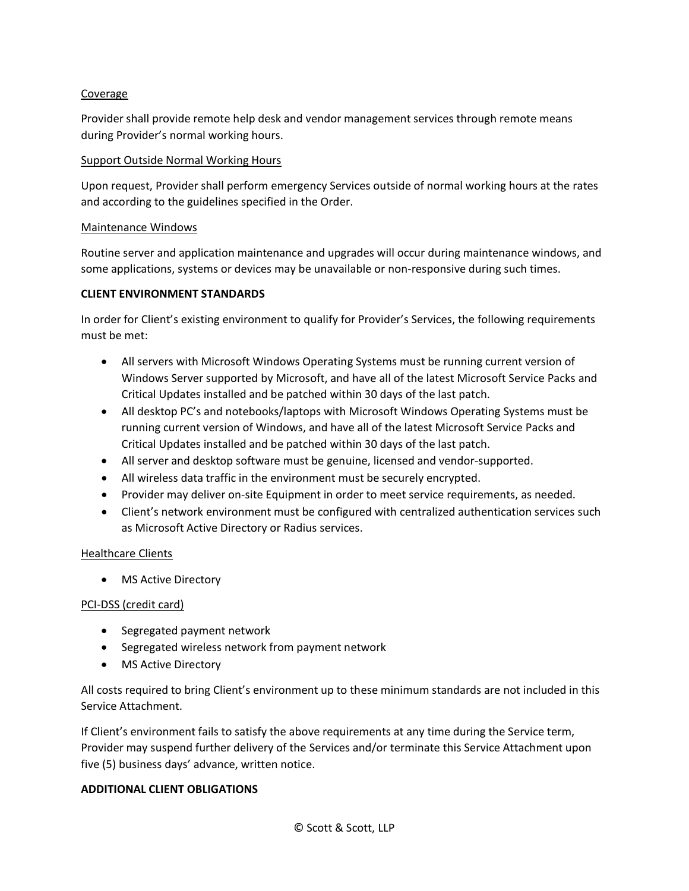### Coverage

Provider shall provide remote help desk and vendor management services through remote means during Provider's normal working hours.

#### Support Outside Normal Working Hours

Upon request, Provider shall perform emergency Services outside of normal working hours at the rates and according to the guidelines specified in the Order.

#### Maintenance Windows

Routine server and application maintenance and upgrades will occur during maintenance windows, and some applications, systems or devices may be unavailable or non-responsive during such times.

### **CLIENT ENVIRONMENT STANDARDS**

In order for Client's existing environment to qualify for Provider's Services, the following requirements must be met:

- All servers with Microsoft Windows Operating Systems must be running current version of Windows Server supported by Microsoft, and have all of the latest Microsoft Service Packs and Critical Updates installed and be patched within 30 days of the last patch.
- All desktop PC's and notebooks/laptops with Microsoft Windows Operating Systems must be running current version of Windows, and have all of the latest Microsoft Service Packs and Critical Updates installed and be patched within 30 days of the last patch.
- All server and desktop software must be genuine, licensed and vendor-supported.
- All wireless data traffic in the environment must be securely encrypted.
- Provider may deliver on-site Equipment in order to meet service requirements, as needed.
- Client's network environment must be configured with centralized authentication services such as Microsoft Active Directory or Radius services.

# Healthcare Clients

• MS Active Directory

# PCI-DSS (credit card)

- Segregated payment network
- Segregated wireless network from payment network
- MS Active Directory

All costs required to bring Client's environment up to these minimum standards are not included in this Service Attachment.

If Client's environment fails to satisfy the above requirements at any time during the Service term, Provider may suspend further delivery of the Services and/or terminate this Service Attachment upon five (5) business days' advance, written notice.

#### **ADDITIONAL CLIENT OBLIGATIONS**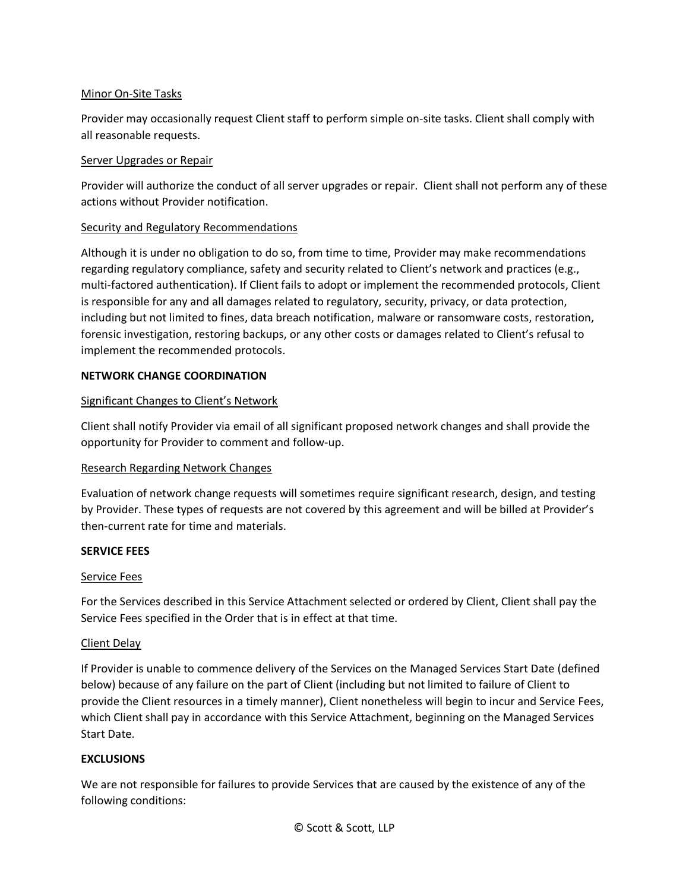### Minor On-Site Tasks

Provider may occasionally request Client staff to perform simple on-site tasks. Client shall comply with all reasonable requests.

#### Server Upgrades or Repair

Provider will authorize the conduct of all server upgrades or repair. Client shall not perform any of these actions without Provider notification.

#### Security and Regulatory Recommendations

Although it is under no obligation to do so, from time to time, Provider may make recommendations regarding regulatory compliance, safety and security related to Client's network and practices (e.g., multi-factored authentication). If Client fails to adopt or implement the recommended protocols, Client is responsible for any and all damages related to regulatory, security, privacy, or data protection, including but not limited to fines, data breach notification, malware or ransomware costs, restoration, forensic investigation, restoring backups, or any other costs or damages related to Client's refusal to implement the recommended protocols.

#### **NETWORK CHANGE COORDINATION**

### Significant Changes to Client's Network

Client shall notify Provider via email of all significant proposed network changes and shall provide the opportunity for Provider to comment and follow-up.

#### Research Regarding Network Changes

Evaluation of network change requests will sometimes require significant research, design, and testing by Provider. These types of requests are not covered by this agreement and will be billed at Provider's then-current rate for time and materials.

#### **SERVICE FEES**

#### Service Fees

For the Services described in this Service Attachment selected or ordered by Client, Client shall pay the Service Fees specified in the Order that is in effect at that time.

#### Client Delay

If Provider is unable to commence delivery of the Services on the Managed Services Start Date (defined below) because of any failure on the part of Client (including but not limited to failure of Client to provide the Client resources in a timely manner), Client nonetheless will begin to incur and Service Fees, which Client shall pay in accordance with this Service Attachment, beginning on the Managed Services Start Date.

#### **EXCLUSIONS**

We are not responsible for failures to provide Services that are caused by the existence of any of the following conditions: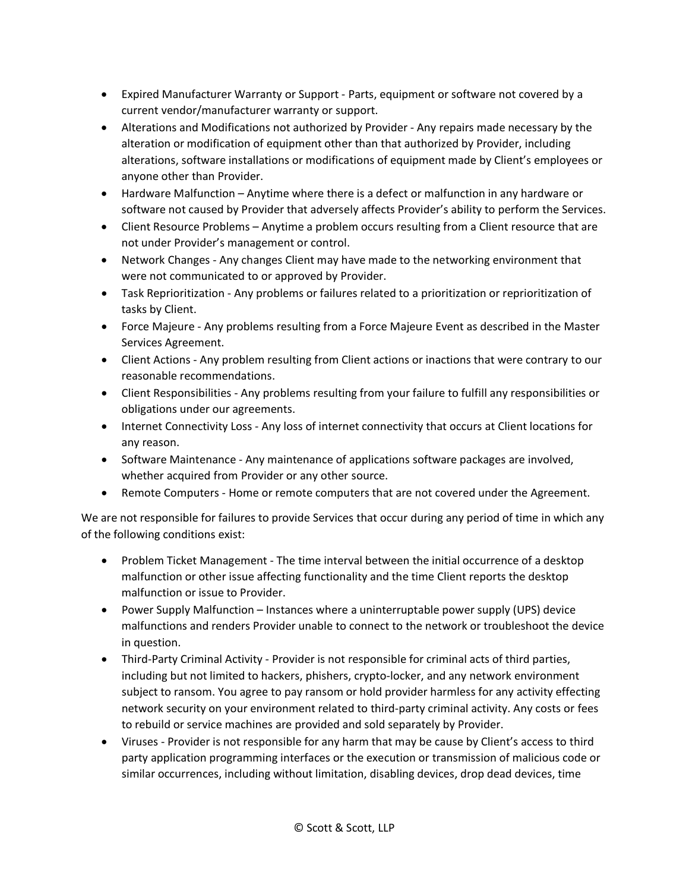- Expired Manufacturer Warranty or Support Parts, equipment or software not covered by a current vendor/manufacturer warranty or support.
- Alterations and Modifications not authorized by Provider Any repairs made necessary by the alteration or modification of equipment other than that authorized by Provider, including alterations, software installations or modifications of equipment made by Client's employees or anyone other than Provider.
- Hardware Malfunction Anytime where there is a defect or malfunction in any hardware or software not caused by Provider that adversely affects Provider's ability to perform the Services.
- Client Resource Problems Anytime a problem occurs resulting from a Client resource that are not under Provider's management or control.
- Network Changes Any changes Client may have made to the networking environment that were not communicated to or approved by Provider.
- Task Reprioritization Any problems or failures related to a prioritization or reprioritization of tasks by Client.
- Force Majeure Any problems resulting from a Force Majeure Event as described in the Master Services Agreement.
- Client Actions Any problem resulting from Client actions or inactions that were contrary to our reasonable recommendations.
- Client Responsibilities Any problems resulting from your failure to fulfill any responsibilities or obligations under our agreements.
- Internet Connectivity Loss Any loss of internet connectivity that occurs at Client locations for any reason.
- Software Maintenance Any maintenance of applications software packages are involved, whether acquired from Provider or any other source.
- Remote Computers Home or remote computers that are not covered under the Agreement.

We are not responsible for failures to provide Services that occur during any period of time in which any of the following conditions exist:

- Problem Ticket Management The time interval between the initial occurrence of a desktop malfunction or other issue affecting functionality and the time Client reports the desktop malfunction or issue to Provider.
- Power Supply Malfunction Instances where a uninterruptable power supply (UPS) device malfunctions and renders Provider unable to connect to the network or troubleshoot the device in question.
- Third-Party Criminal Activity Provider is not responsible for criminal acts of third parties, including but not limited to hackers, phishers, crypto-locker, and any network environment subject to ransom. You agree to pay ransom or hold provider harmless for any activity effecting network security on your environment related to third-party criminal activity. Any costs or fees to rebuild or service machines are provided and sold separately by Provider.
- Viruses Provider is not responsible for any harm that may be cause by Client's access to third party application programming interfaces or the execution or transmission of malicious code or similar occurrences, including without limitation, disabling devices, drop dead devices, time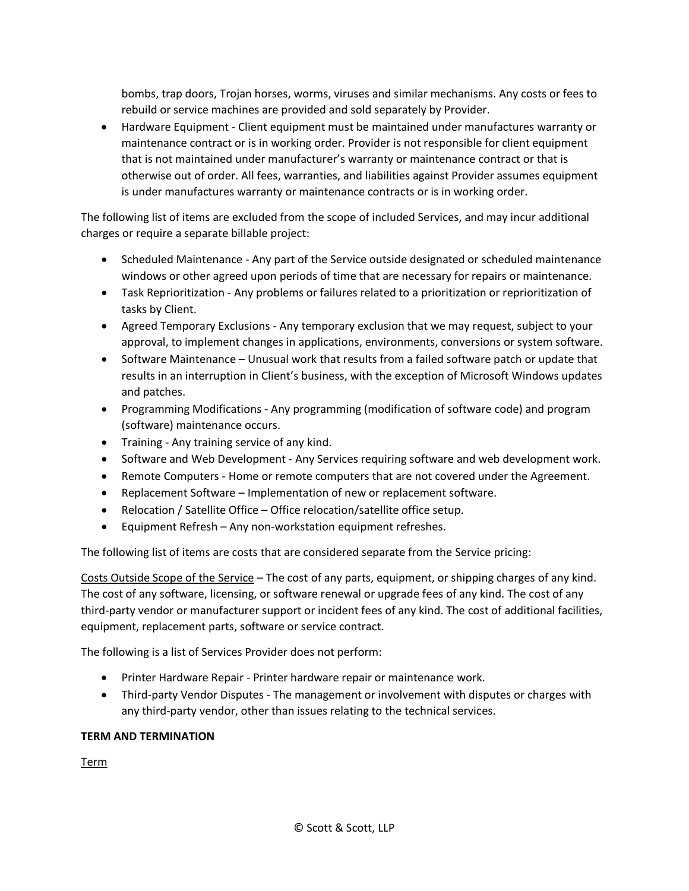bombs, trap doors, Trojan horses, worms, viruses and similar mechanisms. Any costs or fees to rebuild or service machines are provided and sold separately by Provider.

• Hardware Equipment - Client equipment must be maintained under manufactures warranty or maintenance contract or is in working order. Provider is not responsible for client equipment that is not maintained under manufacturer's warranty or maintenance contract or that is otherwise out of order. All fees, warranties, and liabilities against Provider assumes equipment is under manufactures warranty or maintenance contracts or is in working order.

The following list of items are excluded from the scope of included Services, and may incur additional charges or require a separate billable project:

- Scheduled Maintenance Any part of the Service outside designated or scheduled maintenance windows or other agreed upon periods of time that are necessary for repairs or maintenance.
- Task Reprioritization Any problems or failures related to a prioritization or reprioritization of tasks by Client.
- Agreed Temporary Exclusions Any temporary exclusion that we may request, subject to your approval, to implement changes in applications, environments, conversions or system software.
- Software Maintenance Unusual work that results from a failed software patch or update that results in an interruption in Client's business, with the exception of Microsoft Windows updates and patches.
- Programming Modifications Any programming (modification of software code) and program (software) maintenance occurs.
- Training Any training service of any kind.
- Software and Web Development Any Services requiring software and web development work.
- Remote Computers Home or remote computers that are not covered under the Agreement.
- Replacement Software Implementation of new or replacement software.
- Relocation / Satellite Office Office relocation/satellite office setup.
- Equipment Refresh Any non-workstation equipment refreshes.

The following list of items are costs that are considered separate from the Service pricing:

Costs Outside Scope of the Service – The cost of any parts, equipment, or shipping charges of any kind. The cost of any software, licensing, or software renewal or upgrade fees of any kind. The cost of any third-party vendor or manufacturer support or incident fees of any kind. The cost of additional facilities, equipment, replacement parts, software or service contract.

The following is a list of Services Provider does not perform:

- Printer Hardware Repair Printer hardware repair or maintenance work.
- Third-party Vendor Disputes The management or involvement with disputes or charges with any third-party vendor, other than issues relating to the technical services.

# **TERM AND TERMINATION**

Term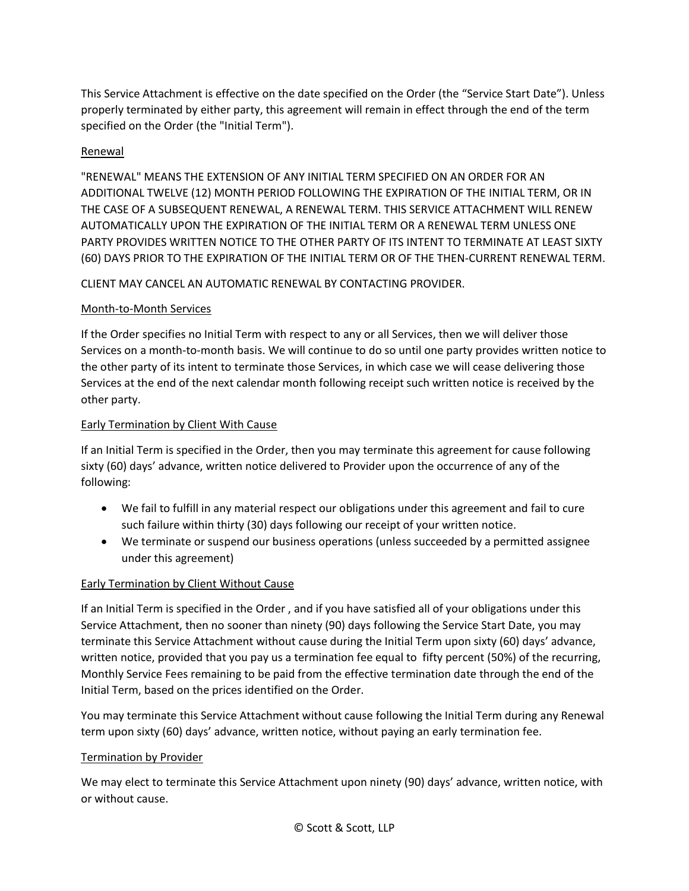This Service Attachment is effective on the date specified on the Order (the "Service Start Date"). Unless properly terminated by either party, this agreement will remain in effect through the end of the term specified on the Order (the "Initial Term").

# Renewal

"RENEWAL" MEANS THE EXTENSION OF ANY INITIAL TERM SPECIFIED ON AN ORDER FOR AN ADDITIONAL TWELVE (12) MONTH PERIOD FOLLOWING THE EXPIRATION OF THE INITIAL TERM, OR IN THE CASE OF A SUBSEQUENT RENEWAL, A RENEWAL TERM. THIS SERVICE ATTACHMENT WILL RENEW AUTOMATICALLY UPON THE EXPIRATION OF THE INITIAL TERM OR A RENEWAL TERM UNLESS ONE PARTY PROVIDES WRITTEN NOTICE TO THE OTHER PARTY OF ITS INTENT TO TERMINATE AT LEAST SIXTY (60) DAYS PRIOR TO THE EXPIRATION OF THE INITIAL TERM OR OF THE THEN-CURRENT RENEWAL TERM.

# CLIENT MAY CANCEL AN AUTOMATIC RENEWAL BY CONTACTING PROVIDER.

# Month-to-Month Services

If the Order specifies no Initial Term with respect to any or all Services, then we will deliver those Services on a month-to-month basis. We will continue to do so until one party provides written notice to the other party of its intent to terminate those Services, in which case we will cease delivering those Services at the end of the next calendar month following receipt such written notice is received by the other party.

# Early Termination by Client With Cause

If an Initial Term is specified in the Order, then you may terminate this agreement for cause following sixty (60) days' advance, written notice delivered to Provider upon the occurrence of any of the following:

- We fail to fulfill in any material respect our obligations under this agreement and fail to cure such failure within thirty (30) days following our receipt of your written notice.
- We terminate or suspend our business operations (unless succeeded by a permitted assignee under this agreement)

# Early Termination by Client Without Cause

If an Initial Term is specified in the Order , and if you have satisfied all of your obligations under this Service Attachment, then no sooner than ninety (90) days following the Service Start Date, you may terminate this Service Attachment without cause during the Initial Term upon sixty (60) days' advance, written notice, provided that you pay us a termination fee equal to fifty percent (50%) of the recurring, Monthly Service Fees remaining to be paid from the effective termination date through the end of the Initial Term, based on the prices identified on the Order.

You may terminate this Service Attachment without cause following the Initial Term during any Renewal term upon sixty (60) days' advance, written notice, without paying an early termination fee.

#### Termination by Provider

We may elect to terminate this Service Attachment upon ninety (90) days' advance, written notice, with or without cause.